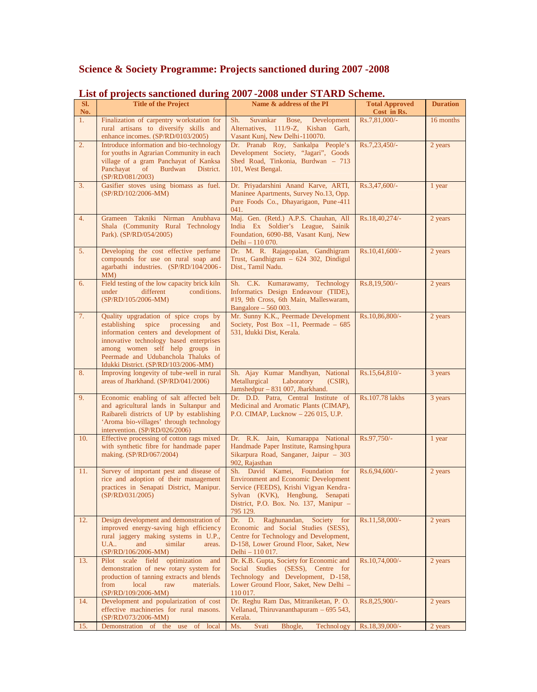## **Science & Society Programme: Projects sanctioned during 2007 -2008**

| SI. | List of projects sunctioned unring<br><b>Title of the Project</b>                                                                                                                                                                                                                    | $2001$ 2000 under behavior benefine.<br>Name & address of the PI                                                                                                                                                   | <b>Total Approved</b> | <b>Duration</b> |
|-----|--------------------------------------------------------------------------------------------------------------------------------------------------------------------------------------------------------------------------------------------------------------------------------------|--------------------------------------------------------------------------------------------------------------------------------------------------------------------------------------------------------------------|-----------------------|-----------------|
| No. |                                                                                                                                                                                                                                                                                      |                                                                                                                                                                                                                    | Cost in Rs.           |                 |
| 1.  | Finalization of carpentry workstation for<br>rural artisans to diversify skills and<br>enhance incomes. (SP/RD/0103/2005)                                                                                                                                                            | Sh.<br>Bose,<br>Suvankar<br>Development<br>Alternatives, 111/9-Z, Kishan Garh,<br>Vasant Kunj, New Delhi-110070.                                                                                                   | Rs.7,81,000/-         | 16 months       |
| 2.  | Introduce information and bio-technology<br>for youths in Agrarian Community in each<br>village of a gram Panchayat of Kanksa<br><sub>of</sub><br>Panchayat<br>Burdwan<br>District.<br>(SP/RD/081/2003)                                                                              | Dr. Pranab Roy, Sankalpa People's<br>Development Society, "Jagari", Goods<br>Shed Road, Tinkonia, Burdwan - 713<br>101, West Bengal.                                                                               | Rs.7,23,450/-         | 2 years         |
| 3.  | Gasifier stoves using biomass as fuel.<br>(SP/RD/102/2006-MM)                                                                                                                                                                                                                        | Dr. Priyadarshini Anand Karve, ARTI,<br>Maninee Apartments, Survey No.13, Opp.<br>Pure Foods Co., Dhayarigaon, Pune-411<br>041.                                                                                    | Rs.3,47,600/-         | 1 year          |
| 4.  | Grameen Takniki Nirman Anubhava<br>Shala (Community Rural Technology<br>Park). (SP/RD/054/2005)                                                                                                                                                                                      | Maj. Gen. (Retd.) A.P.S. Chauhan, All<br>India Ex Soldier's League, Sainik<br>Foundation, 6090-B8, Vasant Kunj, New<br>Delhi - 110 070.                                                                            | Rs.18,40,274/-        | 2 years         |
| 5.  | Developing the cost effective perfume<br>compounds for use on rural soap and<br>agarbathi industries. (SP/RD/104/2006-<br>MM)                                                                                                                                                        | Dr. M. R. Rajagopalan, Gandhigram<br>Trust, Gandhigram - 624 302, Dindigul<br>Dist., Tamil Nadu.                                                                                                                   | Rs.10,41,600/-        | 2 years         |
| 6.  | Field testing of the low capacity brick kiln<br>different<br>conditions.<br>under<br>(SP/RD/105/2006-MM)                                                                                                                                                                             | Sh. C.K. Kumarawamy, Technology<br>Informatics Design Endeavour (TIDE),<br>#19, 9th Cross, 6th Main, Malleswaram,<br>Bangalore $-560003$ .                                                                         | Rs.8,19,500/-         | 2 years         |
| 7.  | Quality upgradation of spice crops by<br>establishing spice processing<br>and<br>information centers and development of<br>innovative technology based enterprises<br>among women self help groups in<br>Peermade and Udubanchola Thaluks of<br>Idukki District. (SP/RD/103/2006-MM) | Mr. Sunny K.K., Peermade Development<br>Society, Post Box $-11$ , Peermade $-685$<br>531, Idukki Dist, Kerala.                                                                                                     | Rs.10,86,800/-        | 2 years         |
| 8.  | Improving longevity of tube-well in rural<br>areas of Jharkhand. (SP/RD/041/2006)                                                                                                                                                                                                    | Sh. Ajay Kumar Mandhyan, National<br>Laboratory<br>Metallurgical<br>$(CSIR)$ ,<br>Jamshedpur - 831 007, Jharkhand.                                                                                                 | Rs.15,64,810/-        | 3 years         |
| 9.  | Economic enabling of salt affected belt<br>and agricultural lands in Sultanpur and<br>Raibareli districts of UP by establishing<br>'Aroma bio-villages' through technology<br>intervention. (SP/RD/026/2006)                                                                         | Dr. D.D. Patra, Central Institute of<br>Medicinal and Aromatic Plants (CIMAP),<br>P.O. CIMAP, Lucknow - 226 015, U.P.                                                                                              | Rs.107.78 lakhs       | 3 years         |
| 10. | Effective processing of cotton rags mixed<br>with synthetic fibre for handmade paper<br>making. (SP/RD/067/2004)                                                                                                                                                                     | Dr. R.K. Jain, Kumarappa National<br>Handmade Paper Institute, Ramsing hpura<br>Sikarpura Road, Sanganer, Jaipur – 303<br>902, Rajasthan                                                                           | Rs.97,750/-           | 1 year          |
| 11. | Survey of important pest and disease of<br>rice and adoption of their management<br>practices in Senapati District, Manipur.<br>(SP/RD/031/2005)                                                                                                                                     | Sh. David Kamei, Foundation for<br><b>Environment and Economic Development</b><br>Service (FEEDS), Krishi Vigyan Kendra-<br>Sylvan (KVK), Hengbung, Senapati<br>District, P.O. Box. No. 137, Manipur -<br>795 129. | Rs.6,94,600/-         | 2 years         |
| 12. | Design development and demonstration of<br>improved energy-saving high efficiency<br>rural jaggery making systems in U.P.,<br><b>U.A</b><br>and<br>similar<br>areas.<br>(SP/RD/106/2006-MM)                                                                                          | Dr. D. Raghunandan, Society for<br>Economic and Social Studies (SESS),<br>Centre for Technology and Development,<br>D-158, Lower Ground Floor, Saket, New<br>Delhi - 110 017.                                      | Rs.11,58,000/-        | 2 years         |
| 13. | Pilot scale field optimization<br>and<br>demonstration of new rotary system for<br>production of tanning extracts and blends<br>local<br>raw<br>materials.<br>from<br>(SP/RD/109/2006-MM)                                                                                            | Dr. K.B. Gupta, Society for Economic and<br>Social Studies (SESS), Centre for<br>Technology and Development, D-158,<br>Lower Ground Floor, Saket, New Delhi -<br>110 017.                                          | Rs.10,74,000/-        | 2 years         |
| 14. | Development and popularization of cost<br>effective machineries for rural masons.<br>$(SP/RD/073/2006-MM)$                                                                                                                                                                           | Dr. Reghu Ram Das, Mitraniketan, P. O.<br>Vellanad, Thiruvananthapuram - 695 543,<br>Kerala.                                                                                                                       | Rs.8,25,900/-         | 2 years         |
| 15. | Demonstration of the use<br>of local                                                                                                                                                                                                                                                 | Bhogle,<br>Technology<br>Ms.<br>Svati                                                                                                                                                                              | Rs.18,39,000/-        | 2 years         |

## **List of projects sanctioned during 2007 -2008 under STARD Scheme.**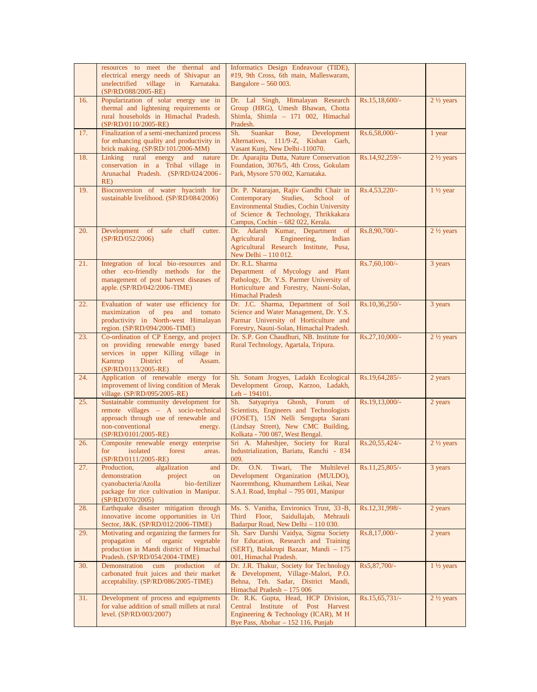|                   | resources to meet the thermal and<br>electrical energy needs of Shivapur an<br>unelectrified village in Karnataka.<br>(SP/RD/088/2005-RE)                                            | Informatics Design Endeavour (TIDE),<br>#19, 9th Cross, 6th main, Malleswaram,<br>Bangalore $-560003$ .                                                                                                      |                |                      |
|-------------------|--------------------------------------------------------------------------------------------------------------------------------------------------------------------------------------|--------------------------------------------------------------------------------------------------------------------------------------------------------------------------------------------------------------|----------------|----------------------|
| 16.               | Popularization of solar energy use in<br>thermal and lightening requirements or<br>rural households in Himachal Pradesh.<br>$(SP/RD/0110/2005-RE)$                                   | Dr. Lal Singh, Himalayan Research<br>Group (HRG), Umesh Bhawan, Chotta<br>Shimla, Shimla - 171 002, Himachal<br>Pradesh.                                                                                     | Rs.15,18,600/- | $2\frac{1}{2}$ years |
| 17.               | Finalization of a semi-mechanized process<br>for enhancing quality and productivity in<br>brick making. (SP/RD/101/2006-MM)                                                          | Sh.<br>Suankar<br>Development<br>Bose,<br>Alternatives, 111/9-Z, Kishan Garh,<br>Vasant Kunj, New Delhi-110070.                                                                                              | Rs.6,58,000/-  | 1 year               |
| 18.               | Linking rural energy<br>and<br>nature<br>conservation in a Tribal village in<br>Arunachal Pradesh. (SP/RD/024/2006-<br>RE)                                                           | Dr. Aparajita Dutta, Nature Conservation<br>Foundation, 3076/5, 4th Cross, Gokulam<br>Park, Mysore 570 002, Karnataka.                                                                                       | Rs.14,92,259/- | $2\frac{1}{2}$ years |
| 19.               | Bioconversion of water hyacinth for<br>sustainable livelihood. (SP/RD/084/2006)                                                                                                      | Dr. P. Natarajan, Rajiv Gandhi Chair in<br>Studies,<br>Contemporary<br>School<br>of<br>Environmental Studies, Cochin University<br>of Science & Technology, Thrikkakara<br>Campus, Cochin - 682 022, Kerala. | Rs.4,53,220/-  | $1\frac{1}{2}$ year  |
| 20.               | Development of<br>safe<br>chaff<br>cutter.<br>(SP/RD/052/2006)                                                                                                                       | Dr. Adarsh Kumar, Department of<br>Agricultural<br>Engineering,<br>Indian<br>Agricultural Research Institute, Pusa,<br>New Delhi - 110 012.                                                                  | Rs.8,90,700/-  | $2\frac{1}{2}$ years |
| 21.               | Integration of local bio-resources and<br>other eco-friendly methods for the<br>management of post harvest diseases of<br>apple. (SP/RD/042/2006-TIME)                               | Dr. R.L. Sharma<br>Department of Mycology and Plant<br>Pathology, Dr. Y.S. Parmer University of<br>Horticulture and Forestry, Nauni-Solan,<br><b>Himachal Pradesh</b>                                        | Rs.7,60,100/-  | 3 years              |
| 22.               | Evaluation of water use efficiency for<br>maximization of pea and tomato<br>productivity in North-west Himalayan<br>region. (SP/RD/094/2006-TIME)                                    | Dr. J.C. Sharma, Department of Soil<br>Science and Water Management, Dr. Y.S.<br>Parmar University of Horticulture and<br>Forestry, Nauni-Solan, Himachal Pradesh.                                           | Rs.10,36,250/- | 3 years              |
| 23.               | Co-ordination of CP Energy, and project<br>on providing renewable energy based<br>services in upper Killing village in<br>Kamrup<br>District<br>Assam.<br>of<br>(SP/RD/0113/2005-RE) | Dr. S.P. Gon Chaudhuri, NB. Institute for<br>Rural Technology, Agartala, Tripura.                                                                                                                            | Rs.27,10,000/- | $2\frac{1}{2}$ years |
| 24.               | Application of renewable energy for<br>improvement of living condition of Merak<br>village. (SP/RD/095/2005-RE)                                                                      | Sh. Sonam Jrogyes, Ladakh Ecological<br>Development Group, Karzoo, Ladakh,<br>$Leh - 194101.$                                                                                                                | Rs.19,64,285/- | 2 years              |
| 25.               | Sustainable community development for<br>remote villages - A socio-technical<br>approach through use of renewable and<br>non-conventional<br>energy.<br>(SP/RD/0101/2005-RE)         | Sh. Satyapriya Ghosh, Forum of<br>Scientists, Engineers and Technologists<br>(FOSET), 15N Nelli Sengupta Sarani<br>(Lindsay Street), New CMC Building,<br>Kolkata - 700 087, West Bengal.                    | Rs.19,13,000/- | 2 years              |
| 26.               | Composite renewable energy enterprise<br>for<br>isolated<br>forest<br>areas.<br>(SP/RD/0111/2005-RE)                                                                                 | Sri A. Maheshjee, Society for Rural<br>Industrialization, Bariatu, Ranchi - 834<br>009.                                                                                                                      | Rs.20,55,424/- | $2\frac{1}{2}$ years |
| 27.               | Production,<br>algalization<br>and<br>demonstration<br>project<br>on<br>cyanobacteria/Azolla<br>bio-fertilizer<br>package for rice cultivation in Manipur.<br>(SP/RD/070/2005)       | Dr.<br>O.N.<br>Tiwari,<br>The<br>Multilevel<br>Development Organization (MULDO),<br>Naoremthong, Khumanthem Leikai, Near<br>S.A.I. Road, Imphal - 795 001, Manipur                                           | Rs.11,25,805/- | 3 years              |
| 28.               | Earthquake disaster mitigation through<br>innovative income opportunities in Uri<br>Sector, J&K. (SP/RD/012/2006-TIME)                                                               | Ms. S. Vanitha, Environics Trust, 33-B,<br>Third Floor,<br>Saidullajab,<br>Mehrauli<br>Badarpur Road, New Delhi - 110 030.                                                                                   | Rs.12,31,998/- | 2 years              |
| 29.               | Motivating and organizing the farmers for<br>organic<br>vegetable<br>propagation<br>of<br>production in Mandi district of Himachal<br>Pradesh. (SP/RD/054/2004-TIME)                 | Sh. Sarv Darshi Vaidya, Sigma Society<br>for Education, Research and Training<br>(SERT), Balakrupi Bazaar, Mandi - 175<br>001, Himachal Pradesh.                                                             | Rs.8,17,000/-  | 2 years              |
| $\overline{30}$ . | Demonstration cum production<br>of<br>carbonated fruit juices and their market<br>acceptability. (SP/RD/086/2005-TIME)                                                               | Dr. J.R. Thakur, Society for Technology<br>& Development, Village-Malori, P.O.<br>Behna, Teh. Sadar, District Mandi,<br>Himachal Pradesh - 175 006                                                           | Rs5,87,700/-   | $1\frac{1}{2}$ years |
| 31.               | Development of process and equipments<br>for value addition of small millets at rural<br>level. (SP/RD/003/2007)                                                                     | Dr. R.K. Gupta, Head, HCP Division,<br>Central Institute of Post Harvest<br>Engineering & Technology (ICAR), M H<br>Bye Pass, Abohar - 152 116, Punjab                                                       | Rs.15,65,731/- | $2\frac{1}{2}$ years |